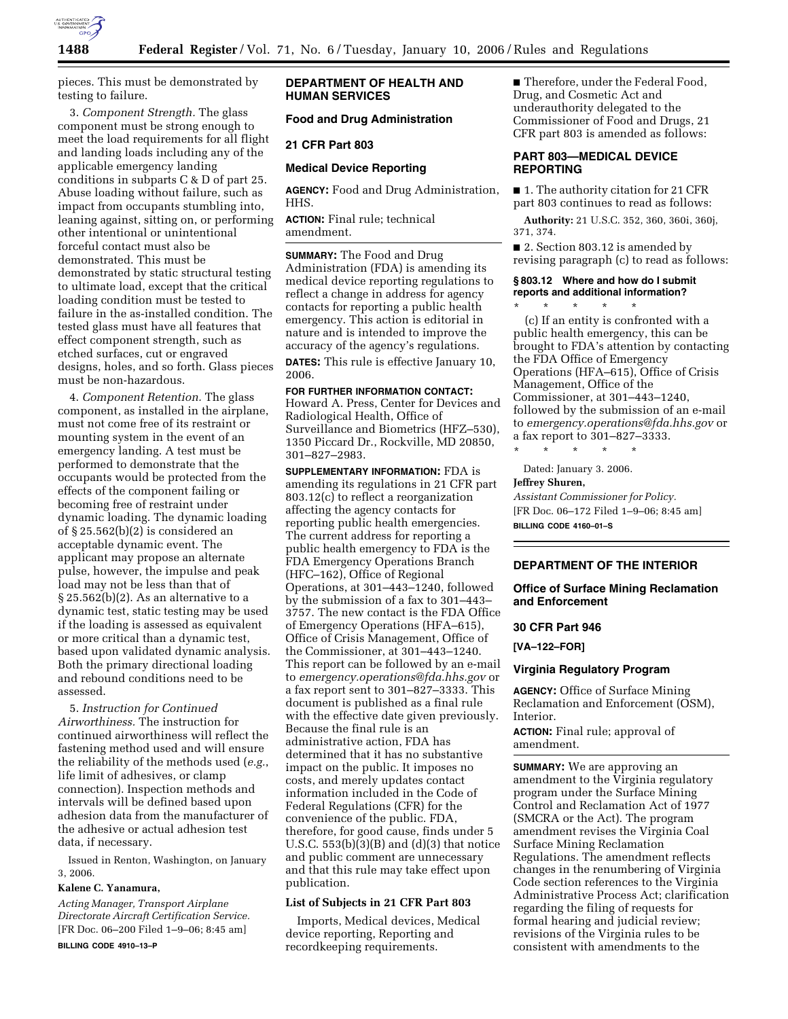

pieces. This must be demonstrated by testing to failure.

3. *Component Strength.* The glass component must be strong enough to meet the load requirements for all flight and landing loads including any of the applicable emergency landing conditions in subparts C & D of part 25. Abuse loading without failure, such as impact from occupants stumbling into, leaning against, sitting on, or performing other intentional or unintentional forceful contact must also be demonstrated. This must be demonstrated by static structural testing to ultimate load, except that the critical loading condition must be tested to failure in the as-installed condition. The tested glass must have all features that effect component strength, such as etched surfaces, cut or engraved designs, holes, and so forth. Glass pieces must be non-hazardous.

4. *Component Retention.* The glass component, as installed in the airplane, must not come free of its restraint or mounting system in the event of an emergency landing. A test must be performed to demonstrate that the occupants would be protected from the effects of the component failing or becoming free of restraint under dynamic loading. The dynamic loading of § 25.562(b)(2) is considered an acceptable dynamic event. The applicant may propose an alternate pulse, however, the impulse and peak load may not be less than that of § 25.562(b)(2). As an alternative to a dynamic test, static testing may be used if the loading is assessed as equivalent or more critical than a dynamic test, based upon validated dynamic analysis. Both the primary directional loading and rebound conditions need to be assessed.

5. *Instruction for Continued Airworthiness.* The instruction for continued airworthiness will reflect the fastening method used and will ensure the reliability of the methods used (*e.g.*, life limit of adhesives, or clamp connection). Inspection methods and intervals will be defined based upon adhesion data from the manufacturer of the adhesive or actual adhesion test data, if necessary.

Issued in Renton, Washington, on January 3, 2006.

#### **Kalene C. Yanamura,**

*Acting Manager, Transport Airplane Directorate Aircraft Certification Service.*  [FR Doc. 06–200 Filed 1–9–06; 8:45 am]

## **BILLING CODE 4910–13–P**

### **DEPARTMENT OF HEALTH AND HUMAN SERVICES**

## **Food and Drug Administration**

#### **21 CFR Part 803**

### **Medical Device Reporting**

**AGENCY:** Food and Drug Administration, **HHS** 

**ACTION:** Final rule; technical amendment.

**SUMMARY:** The Food and Drug Administration (FDA) is amending its medical device reporting regulations to reflect a change in address for agency contacts for reporting a public health emergency. This action is editorial in nature and is intended to improve the accuracy of the agency's regulations.

**DATES:** This rule is effective January 10, 2006.

# **FOR FURTHER INFORMATION CONTACT:**

Howard A. Press, Center for Devices and Radiological Health, Office of Surveillance and Biometrics (HFZ–530), 1350 Piccard Dr., Rockville, MD 20850, 301–827–2983.

**SUPPLEMENTARY INFORMATION:** FDA is amending its regulations in 21 CFR part 803.12(c) to reflect a reorganization affecting the agency contacts for reporting public health emergencies. The current address for reporting a public health emergency to FDA is the FDA Emergency Operations Branch (HFC–162), Office of Regional Operations, at 301–443–1240, followed by the submission of a fax to 301–443– 3757. The new contact is the FDA Office of Emergency Operations (HFA–615), Office of Crisis Management, Office of the Commissioner, at 301–443–1240. This report can be followed by an e-mail to *emergency.operations@fda.hhs.gov* or a fax report sent to 301–827–3333. This document is published as a final rule with the effective date given previously. Because the final rule is an administrative action, FDA has determined that it has no substantive impact on the public. It imposes no costs, and merely updates contact information included in the Code of Federal Regulations (CFR) for the convenience of the public. FDA, therefore, for good cause, finds under 5 U.S.C.  $553(b)(3)(B)$  and  $(d)(3)$  that notice and public comment are unnecessary and that this rule may take effect upon publication.

### **List of Subjects in 21 CFR Part 803**

Imports, Medical devices, Medical device reporting, Reporting and recordkeeping requirements.

■ Therefore, under the Federal Food, Drug, and Cosmetic Act and underauthority delegated to the Commissioner of Food and Drugs, 21 CFR part 803 is amended as follows:

## **PART 803—MEDICAL DEVICE REPORTING**

■ 1. The authority citation for 21 CFR part 803 continues to read as follows:

**Authority:** 21 U.S.C. 352, 360, 360i, 360j, 371, 374.

■ 2. Section 803.12 is amended by revising paragraph (c) to read as follows:

## **§ 803.12 Where and how do I submit reports and additional information?**

\* \* \* \* \* (c) If an entity is confronted with a public health emergency, this can be brought to FDA's attention by contacting the FDA Office of Emergency Operations (HFA–615), Office of Crisis Management, Office of the Commissioner, at 301–443–1240, followed by the submission of an e-mail to *emergency.operations@fda.hhs.gov* or a fax report to 301–827–3333.

\* \* \* \* \*

Dated: January 3. 2006.

# **Jeffrey Shuren,**

*Assistant Commissioner for Policy.*  [FR Doc. 06–172 Filed 1–9–06; 8:45 am] **BILLING CODE 4160–01–S** 

#### **DEPARTMENT OF THE INTERIOR**

**Office of Surface Mining Reclamation and Enforcement** 

#### **30 CFR Part 946**

**[VA–122–FOR]** 

#### **Virginia Regulatory Program**

**AGENCY:** Office of Surface Mining Reclamation and Enforcement (OSM), Interior.

**ACTION:** Final rule; approval of amendment.

**SUMMARY:** We are approving an amendment to the Virginia regulatory program under the Surface Mining Control and Reclamation Act of 1977 (SMCRA or the Act). The program amendment revises the Virginia Coal Surface Mining Reclamation Regulations. The amendment reflects changes in the renumbering of Virginia Code section references to the Virginia Administrative Process Act; clarification regarding the filing of requests for formal hearing and judicial review; revisions of the Virginia rules to be consistent with amendments to the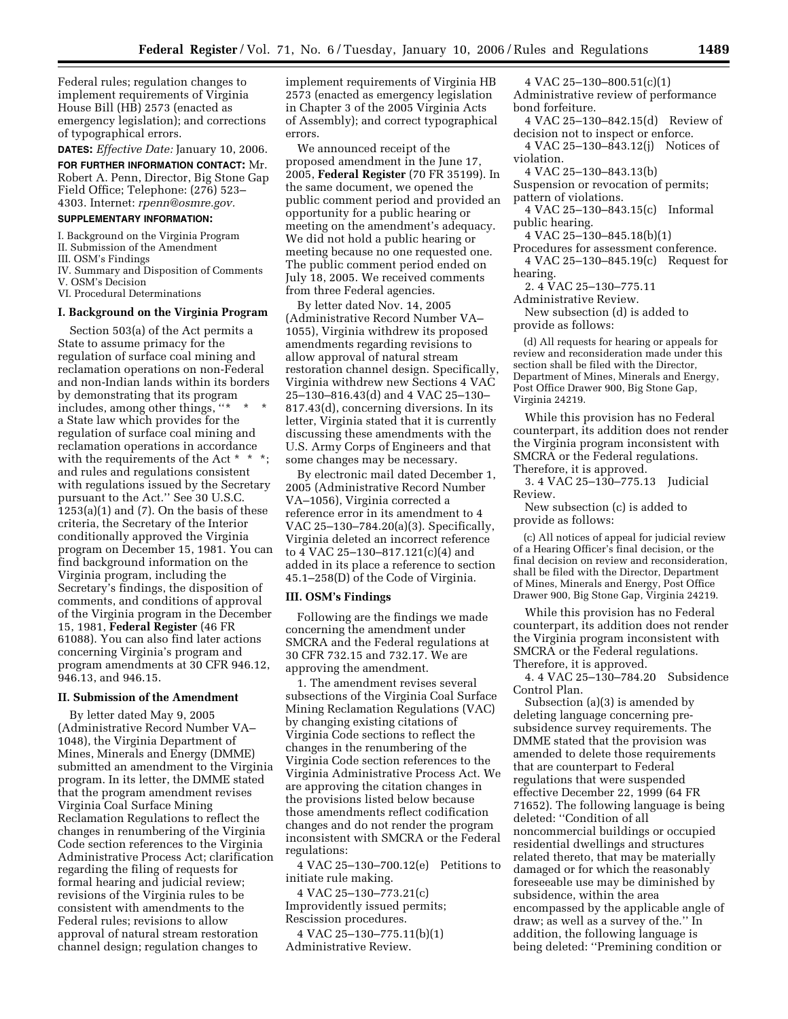Federal rules; regulation changes to implement requirements of Virginia House Bill (HB) 2573 (enacted as emergency legislation); and corrections of typographical errors.

**DATES:** *Effective Date:* January 10, 2006. **FOR FURTHER INFORMATION CONTACT:** Mr. Robert A. Penn, Director, Big Stone Gap Field Office; Telephone: (276) 523– 4303. Internet: *rpenn@osmre.gov.* 

#### **SUPPLEMENTARY INFORMATION:**

I. Background on the Virginia Program

- II. Submission of the Amendment
- III. OSM's Findings

IV. Summary and Disposition of Comments V. OSM's Decision

VI. Procedural Determinations

#### **I. Background on the Virginia Program**

Section 503(a) of the Act permits a State to assume primacy for the regulation of surface coal mining and reclamation operations on non-Federal and non-Indian lands within its borders by demonstrating that its program includes, among other things, "\* a State law which provides for the regulation of surface coal mining and reclamation operations in accordance with the requirements of the Act \* \* \*; and rules and regulations consistent with regulations issued by the Secretary pursuant to the Act.'' See 30 U.S.C.  $1253(a)(1)$  and  $(7)$ . On the basis of these criteria, the Secretary of the Interior conditionally approved the Virginia program on December 15, 1981. You can find background information on the Virginia program, including the Secretary's findings, the disposition of comments, and conditions of approval of the Virginia program in the December 15, 1981, **Federal Register** (46 FR 61088). You can also find later actions concerning Virginia's program and program amendments at 30 CFR 946.12, 946.13, and 946.15.

# **II. Submission of the Amendment**

By letter dated May 9, 2005 (Administrative Record Number VA– 1048), the Virginia Department of Mines, Minerals and Energy (DMME) submitted an amendment to the Virginia program. In its letter, the DMME stated that the program amendment revises Virginia Coal Surface Mining Reclamation Regulations to reflect the changes in renumbering of the Virginia Code section references to the Virginia Administrative Process Act; clarification regarding the filing of requests for formal hearing and judicial review; revisions of the Virginia rules to be consistent with amendments to the Federal rules; revisions to allow approval of natural stream restoration channel design; regulation changes to

implement requirements of Virginia HB 2573 (enacted as emergency legislation in Chapter 3 of the 2005 Virginia Acts of Assembly); and correct typographical errors.

We announced receipt of the proposed amendment in the June 17, 2005, **Federal Register** (70 FR 35199). In the same document, we opened the public comment period and provided an opportunity for a public hearing or meeting on the amendment's adequacy. We did not hold a public hearing or meeting because no one requested one. The public comment period ended on July 18, 2005. We received comments from three Federal agencies.

By letter dated Nov. 14, 2005 (Administrative Record Number VA– 1055), Virginia withdrew its proposed amendments regarding revisions to allow approval of natural stream restoration channel design. Specifically, Virginia withdrew new Sections 4 VAC 25–130–816.43(d) and 4 VAC 25–130– 817.43(d), concerning diversions. In its letter, Virginia stated that it is currently discussing these amendments with the U.S. Army Corps of Engineers and that some changes may be necessary.

By electronic mail dated December 1, 2005 (Administrative Record Number VA–1056), Virginia corrected a reference error in its amendment to 4 VAC 25–130–784.20(a)(3). Specifically, Virginia deleted an incorrect reference to 4 VAC 25–130–817.121(c)(4) and added in its place a reference to section 45.1–258(D) of the Code of Virginia.

#### **III. OSM's Findings**

Following are the findings we made concerning the amendment under SMCRA and the Federal regulations at 30 CFR 732.15 and 732.17. We are approving the amendment.

1. The amendment revises several subsections of the Virginia Coal Surface Mining Reclamation Regulations (VAC) by changing existing citations of Virginia Code sections to reflect the changes in the renumbering of the Virginia Code section references to the Virginia Administrative Process Act. We are approving the citation changes in the provisions listed below because those amendments reflect codification changes and do not render the program inconsistent with SMCRA or the Federal regulations:

4 VAC 25–130–700.12(e) Petitions to initiate rule making.

4 VAC 25–130–773.21(c) Improvidently issued permits; Rescission procedures.

4 VAC 25–130–775.11(b)(1) Administrative Review.

4 VAC 25–130–800.51(c)(1)

Administrative review of performance bond forfeiture.

4 VAC 25–130–842.15(d) Review of decision not to inspect or enforce.

4 VAC 25–130–843.12(j) Notices of violation.

4 VAC 25–130–843.13(b) Suspension or revocation of permits;

- pattern of violations.
- 4 VAC 25–130–843.15(c) Informal public hearing.

4 VAC 25–130–845.18(b)(1)

Procedures for assessment conference. 4 VAC 25–130–845.19(c) Request for hearing.

2. 4 VAC 25–130–775.11

Administrative Review.

New subsection (d) is added to provide as follows:

(d) All requests for hearing or appeals for review and reconsideration made under this section shall be filed with the Director, Department of Mines, Minerals and Energy, Post Office Drawer 900, Big Stone Gap, Virginia 24219.

While this provision has no Federal counterpart, its addition does not render the Virginia program inconsistent with SMCRA or the Federal regulations. Therefore, it is approved.

3. 4 VAC 25–130–775.13 Judicial Review.

New subsection (c) is added to provide as follows:

(c) All notices of appeal for judicial review of a Hearing Officer's final decision, or the final decision on review and reconsideration, shall be filed with the Director, Department of Mines, Minerals and Energy, Post Office Drawer 900, Big Stone Gap, Virginia 24219.

While this provision has no Federal counterpart, its addition does not render the Virginia program inconsistent with SMCRA or the Federal regulations. Therefore, it is approved.

4. 4 VAC 25–130–784.20 Subsidence Control Plan.

Subsection (a)(3) is amended by deleting language concerning presubsidence survey requirements. The DMME stated that the provision was amended to delete those requirements that are counterpart to Federal regulations that were suspended effective December 22, 1999 (64 FR 71652). The following language is being deleted: ''Condition of all noncommercial buildings or occupied residential dwellings and structures related thereto, that may be materially damaged or for which the reasonably foreseeable use may be diminished by subsidence, within the area encompassed by the applicable angle of draw; as well as a survey of the.'' In addition, the following language is being deleted: ''Premining condition or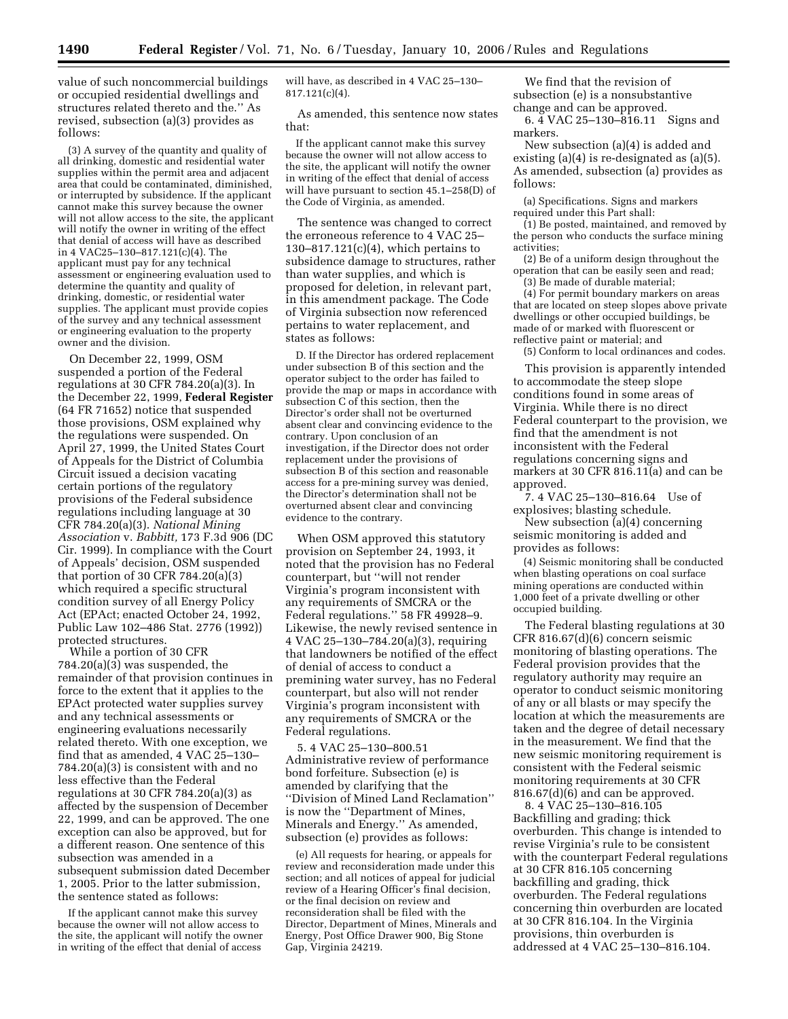value of such noncommercial buildings or occupied residential dwellings and structures related thereto and the.'' As revised, subsection (a)(3) provides as follows:

(3) A survey of the quantity and quality of all drinking, domestic and residential water supplies within the permit area and adjacent area that could be contaminated, diminished, or interrupted by subsidence. If the applicant cannot make this survey because the owner will not allow access to the site, the applicant will notify the owner in writing of the effect that denial of access will have as described in 4 VAC25–130–817.121(c)(4). The applicant must pay for any technical assessment or engineering evaluation used to determine the quantity and quality of drinking, domestic, or residential water supplies. The applicant must provide copies of the survey and any technical assessment or engineering evaluation to the property owner and the division.

On December 22, 1999, OSM suspended a portion of the Federal regulations at 30 CFR 784.20(a)(3). In the December 22, 1999, **Federal Register**  (64 FR 71652) notice that suspended those provisions, OSM explained why the regulations were suspended. On April 27, 1999, the United States Court of Appeals for the District of Columbia Circuit issued a decision vacating certain portions of the regulatory provisions of the Federal subsidence regulations including language at 30 CFR 784.20(a)(3). *National Mining Association* v. *Babbitt,* 173 F.3d 906 (DC Cir. 1999). In compliance with the Court of Appeals' decision, OSM suspended that portion of 30 CFR 784.20(a)(3) which required a specific structural condition survey of all Energy Policy Act (EPAct; enacted October 24, 1992, Public Law 102–486 Stat. 2776 (1992)) protected structures.

While a portion of 30 CFR 784.20(a)(3) was suspended, the remainder of that provision continues in force to the extent that it applies to the EPAct protected water supplies survey and any technical assessments or engineering evaluations necessarily related thereto. With one exception, we find that as amended, 4 VAC 25–130– 784.20(a)(3) is consistent with and no less effective than the Federal regulations at 30 CFR  $784.20(a)(3)$  as affected by the suspension of December 22, 1999, and can be approved. The one exception can also be approved, but for a different reason. One sentence of this subsection was amended in a subsequent submission dated December 1, 2005. Prior to the latter submission, the sentence stated as follows:

If the applicant cannot make this survey because the owner will not allow access to the site, the applicant will notify the owner in writing of the effect that denial of access will have, as described in 4 VAC 25–130– 817.121(c)(4).

As amended, this sentence now states that:

If the applicant cannot make this survey because the owner will not allow access to the site, the applicant will notify the owner in writing of the effect that denial of access will have pursuant to section 45.1–258(D) of the Code of Virginia, as amended.

The sentence was changed to correct the erroneous reference to 4 VAC 25– 130–817.121(c)(4), which pertains to subsidence damage to structures, rather than water supplies, and which is proposed for deletion, in relevant part, in this amendment package. The Code of Virginia subsection now referenced pertains to water replacement, and states as follows:

D. If the Director has ordered replacement under subsection B of this section and the operator subject to the order has failed to provide the map or maps in accordance with subsection C of this section, then the Director's order shall not be overturned absent clear and convincing evidence to the contrary. Upon conclusion of an investigation, if the Director does not order replacement under the provisions of subsection B of this section and reasonable access for a pre-mining survey was denied, the Director's determination shall not be overturned absent clear and convincing evidence to the contrary.

When OSM approved this statutory provision on September 24, 1993, it noted that the provision has no Federal counterpart, but ''will not render Virginia's program inconsistent with any requirements of SMCRA or the Federal regulations.'' 58 FR 49928–9. Likewise, the newly revised sentence in 4 VAC 25–130–784.20(a)(3), requiring that landowners be notified of the effect of denial of access to conduct a premining water survey, has no Federal counterpart, but also will not render Virginia's program inconsistent with any requirements of SMCRA or the Federal regulations.

5. 4 VAC 25–130–800.51 Administrative review of performance bond forfeiture. Subsection (e) is amended by clarifying that the ''Division of Mined Land Reclamation'' is now the ''Department of Mines, Minerals and Energy.'' As amended, subsection (e) provides as follows:

(e) All requests for hearing, or appeals for review and reconsideration made under this section; and all notices of appeal for judicial review of a Hearing Officer's final decision, or the final decision on review and reconsideration shall be filed with the Director, Department of Mines, Minerals and Energy, Post Office Drawer 900, Big Stone Gap, Virginia 24219.

We find that the revision of subsection (e) is a nonsubstantive change and can be approved.

6. 4 VAC 25–130–816.11 Signs and markers.

New subsection (a)(4) is added and existing (a)(4) is re-designated as (a)(5). As amended, subsection (a) provides as follows:

(a) Specifications. Signs and markers required under this Part shall:

(1) Be posted, maintained, and removed by the person who conducts the surface mining activities;

(2) Be of a uniform design throughout the operation that can be easily seen and read; (3) Be made of durable material;

(4) For permit boundary markers on areas that are located on steep slopes above private dwellings or other occupied buildings, be made of or marked with fluorescent or reflective paint or material; and (5) Conform to local ordinances and codes.

This provision is apparently intended to accommodate the steep slope

conditions found in some areas of Virginia. While there is no direct Federal counterpart to the provision, we find that the amendment is not inconsistent with the Federal regulations concerning signs and markers at 30 CFR 816.11(a) and can be approved.

7. 4 VAC 25–130–816.64 Use of explosives; blasting schedule.

New subsection (a)(4) concerning seismic monitoring is added and provides as follows:

(4) Seismic monitoring shall be conducted when blasting operations on coal surface mining operations are conducted within 1,000 feet of a private dwelling or other occupied building.

The Federal blasting regulations at 30 CFR 816.67(d)(6) concern seismic monitoring of blasting operations. The Federal provision provides that the regulatory authority may require an operator to conduct seismic monitoring of any or all blasts or may specify the location at which the measurements are taken and the degree of detail necessary in the measurement. We find that the new seismic monitoring requirement is consistent with the Federal seismic monitoring requirements at 30 CFR 816.67(d)(6) and can be approved.

8. 4 VAC 25–130–816.105 Backfilling and grading; thick overburden. This change is intended to revise Virginia's rule to be consistent with the counterpart Federal regulations at 30 CFR 816.105 concerning backfilling and grading, thick overburden. The Federal regulations concerning thin overburden are located at 30 CFR 816.104. In the Virginia provisions, thin overburden is addressed at 4 VAC 25–130–816.104.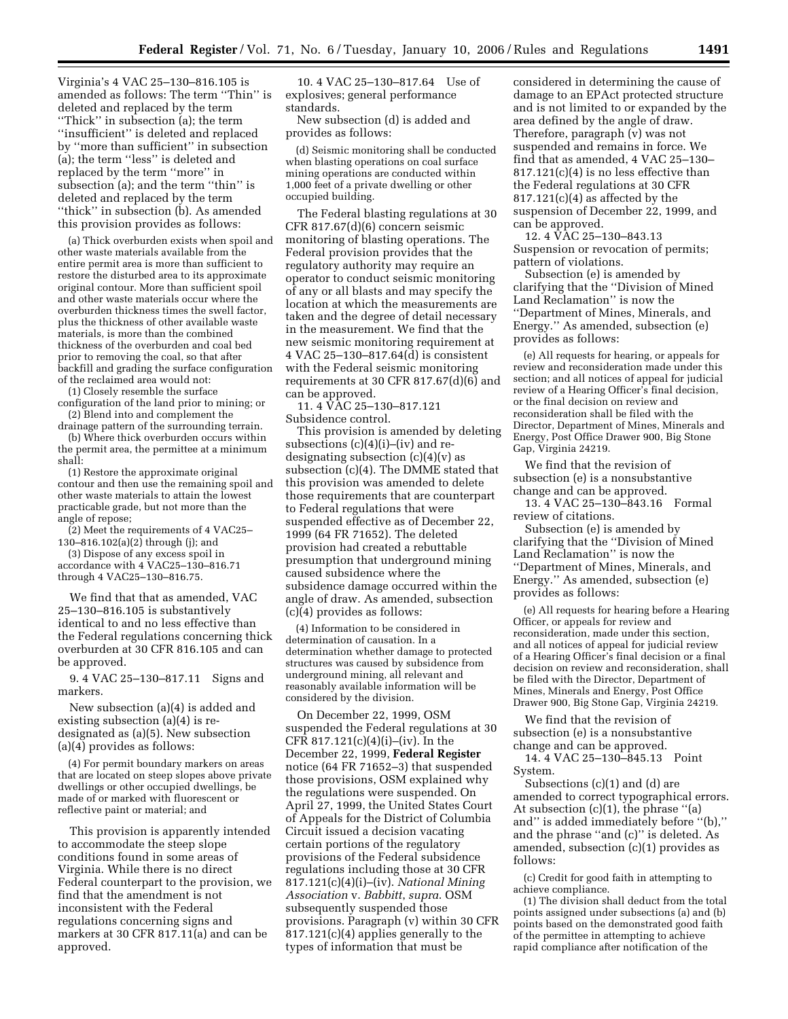Virginia's 4 VAC 25–130–816.105 is amended as follows: The term ''Thin'' is deleted and replaced by the term ''Thick'' in subsection (a); the term ''insufficient'' is deleted and replaced by ''more than sufficient'' in subsection (a); the term ''less'' is deleted and replaced by the term ''more'' in subsection (a); and the term "thin" is deleted and replaced by the term ''thick'' in subsection (b). As amended this provision provides as follows:

(a) Thick overburden exists when spoil and other waste materials available from the entire permit area is more than sufficient to restore the disturbed area to its approximate original contour. More than sufficient spoil and other waste materials occur where the overburden thickness times the swell factor, plus the thickness of other available waste materials, is more than the combined thickness of the overburden and coal bed prior to removing the coal, so that after backfill and grading the surface configuration of the reclaimed area would not:

(1) Closely resemble the surface

configuration of the land prior to mining; or (2) Blend into and complement the

drainage pattern of the surrounding terrain. (b) Where thick overburden occurs within the permit area, the permittee at a minimum

shall: (1) Restore the approximate original contour and then use the remaining spoil and other waste materials to attain the lowest practicable grade, but not more than the

angle of repose; (2) Meet the requirements of 4 VAC25–

130–816.102(a)(2) through (j); and (3) Dispose of any excess spoil in

accordance with 4 VAC25–130–816.71 through 4 VAC25–130–816.75.

We find that that as amended, VAC 25–130–816.105 is substantively identical to and no less effective than the Federal regulations concerning thick overburden at 30 CFR 816.105 and can be approved.

9. 4 VAC 25–130–817.11 Signs and markers.

New subsection (a)(4) is added and existing subsection (a)(4) is redesignated as (a)(5). New subsection (a)(4) provides as follows:

(4) For permit boundary markers on areas that are located on steep slopes above private dwellings or other occupied dwellings, be made of or marked with fluorescent or reflective paint or material; and

This provision is apparently intended to accommodate the steep slope conditions found in some areas of Virginia. While there is no direct Federal counterpart to the provision, we find that the amendment is not inconsistent with the Federal regulations concerning signs and markers at 30 CFR 817.11(a) and can be approved.

10. 4 VAC 25–130–817.64 Use of explosives; general performance standards.

New subsection (d) is added and provides as follows:

(d) Seismic monitoring shall be conducted when blasting operations on coal surface mining operations are conducted within 1,000 feet of a private dwelling or other occupied building.

The Federal blasting regulations at 30 CFR 817.67(d)(6) concern seismic monitoring of blasting operations. The Federal provision provides that the regulatory authority may require an operator to conduct seismic monitoring of any or all blasts and may specify the location at which the measurements are taken and the degree of detail necessary in the measurement. We find that the new seismic monitoring requirement at 4 VAC 25–130–817.64(d) is consistent with the Federal seismic monitoring requirements at 30 CFR 817.67 $(d)(6)$  and can be approved.

11. 4 VAC 25–130–817.121 Subsidence control.

This provision is amended by deleting subsections  $(c)(4)(i)$ – $(iv)$  and redesignating subsection  $(c)(4)(v)$  as subsection (c)(4). The DMME stated that this provision was amended to delete those requirements that are counterpart to Federal regulations that were suspended effective as of December 22, 1999 (64 FR 71652). The deleted provision had created a rebuttable presumption that underground mining caused subsidence where the subsidence damage occurred within the angle of draw. As amended, subsection (c)(4) provides as follows:

(4) Information to be considered in determination of causation. In a determination whether damage to protected structures was caused by subsidence from underground mining, all relevant and reasonably available information will be considered by the division.

On December 22, 1999, OSM suspended the Federal regulations at 30 CFR 817.121(c)(4)(i)–(iv). In the December 22, 1999, **Federal Register**  notice (64 FR 71652–3) that suspended those provisions, OSM explained why the regulations were suspended. On April 27, 1999, the United States Court of Appeals for the District of Columbia Circuit issued a decision vacating certain portions of the regulatory provisions of the Federal subsidence regulations including those at 30 CFR 817.121(c)(4)(i)–(iv). *National Mining Association* v. *Babbitt*, *supra*. OSM subsequently suspended those provisions. Paragraph (v) within 30 CFR 817.121(c)(4) applies generally to the types of information that must be

considered in determining the cause of damage to an EPAct protected structure and is not limited to or expanded by the area defined by the angle of draw. Therefore, paragraph (v) was not suspended and remains in force. We find that as amended, 4 VAC 25–130– 817.121(c)(4) is no less effective than the Federal regulations at 30 CFR  $817.121(c)(4)$  as affected by the suspension of December 22, 1999, and can be approved.

12. 4 VAC 25–130–843.13 Suspension or revocation of permits; pattern of violations.

Subsection (e) is amended by clarifying that the ''Division of Mined Land Reclamation'' is now the ''Department of Mines, Minerals, and Energy.'' As amended, subsection (e) provides as follows:

(e) All requests for hearing, or appeals for review and reconsideration made under this section; and all notices of appeal for judicial review of a Hearing Officer's final decision, or the final decision on review and reconsideration shall be filed with the Director, Department of Mines, Minerals and Energy, Post Office Drawer 900, Big Stone Gap, Virginia 24219.

We find that the revision of subsection (e) is a nonsubstantive change and can be approved.

13. 4 VAC 25–130–843.16 Formal review of citations.

Subsection (e) is amended by clarifying that the ''Division of Mined Land Reclamation'' is now the ''Department of Mines, Minerals, and Energy.'' As amended, subsection (e) provides as follows:

(e) All requests for hearing before a Hearing Officer, or appeals for review and reconsideration, made under this section, and all notices of appeal for judicial review of a Hearing Officer's final decision or a final decision on review and reconsideration, shall be filed with the Director, Department of Mines, Minerals and Energy, Post Office Drawer 900, Big Stone Gap, Virginia 24219.

We find that the revision of subsection (e) is a nonsubstantive change and can be approved.

14. 4 VAC 25–130–845.13 Point System.

Subsections (c)(1) and (d) are amended to correct typographical errors. At subsection (c)(1), the phrase ''(a) and'' is added immediately before ''(b),'' and the phrase ''and (c)'' is deleted. As amended, subsection (c)(1) provides as follows:

(c) Credit for good faith in attempting to achieve compliance.

(1) The division shall deduct from the total points assigned under subsections (a) and (b) points based on the demonstrated good faith of the permittee in attempting to achieve rapid compliance after notification of the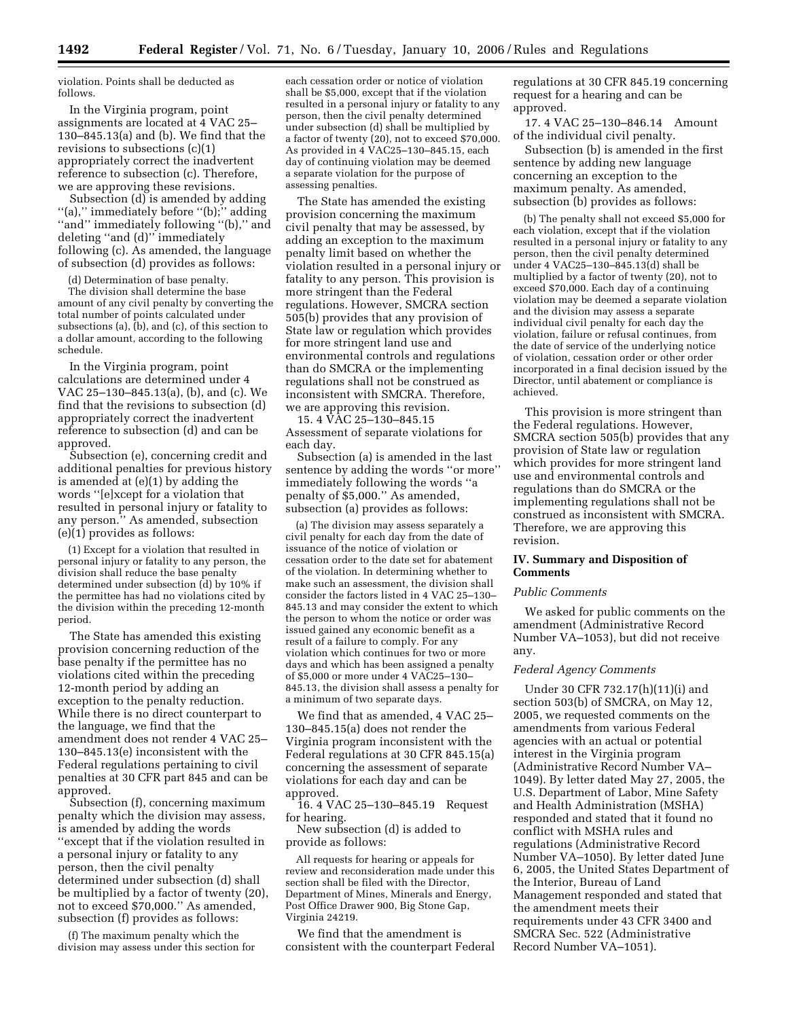violation. Points shall be deducted as follows.

In the Virginia program, point assignments are located at 4 VAC 25– 130–845.13(a) and (b). We find that the revisions to subsections (c)(1) appropriately correct the inadvertent reference to subsection (c). Therefore, we are approving these revisions.

Subsection (d) is amended by adding ''(a),'' immediately before ''(b);'' adding ''and'' immediately following ''(b),'' and deleting ''and (d)'' immediately following (c). As amended, the language of subsection (d) provides as follows:

(d) Determination of base penalty.

The division shall determine the base amount of any civil penalty by converting the total number of points calculated under subsections (a),  $(b)$ , and  $(c)$ , of this section to a dollar amount, according to the following schedule.

In the Virginia program, point calculations are determined under 4 VAC 25–130–845.13(a), (b), and (c). We find that the revisions to subsection (d) appropriately correct the inadvertent reference to subsection (d) and can be approved.

Subsection (e), concerning credit and additional penalties for previous history is amended at (e)(1) by adding the words ''[e]xcept for a violation that resulted in personal injury or fatality to any person.'' As amended, subsection (e)(1) provides as follows:

(1) Except for a violation that resulted in personal injury or fatality to any person, the division shall reduce the base penalty determined under subsection (d) by 10% if the permittee has had no violations cited by the division within the preceding 12-month period.

The State has amended this existing provision concerning reduction of the base penalty if the permittee has no violations cited within the preceding 12-month period by adding an exception to the penalty reduction. While there is no direct counterpart to the language, we find that the amendment does not render 4 VAC 25– 130–845.13(e) inconsistent with the Federal regulations pertaining to civil penalties at 30 CFR part 845 and can be approved.

Subsection (f), concerning maximum penalty which the division may assess, is amended by adding the words ''except that if the violation resulted in a personal injury or fatality to any person, then the civil penalty determined under subsection (d) shall be multiplied by a factor of twenty (20), not to exceed \$70,000.'' As amended, subsection (f) provides as follows:

(f) The maximum penalty which the division may assess under this section for

each cessation order or notice of violation shall be \$5,000, except that if the violation resulted in a personal injury or fatality to any person, then the civil penalty determined under subsection (d) shall be multiplied by a factor of twenty (20), not to exceed \$70,000. As provided in 4 VAC25–130–845.15, each day of continuing violation may be deemed a separate violation for the purpose of assessing penalties.

The State has amended the existing provision concerning the maximum civil penalty that may be assessed, by adding an exception to the maximum penalty limit based on whether the violation resulted in a personal injury or fatality to any person. This provision is more stringent than the Federal regulations. However, SMCRA section 505(b) provides that any provision of State law or regulation which provides for more stringent land use and environmental controls and regulations than do SMCRA or the implementing regulations shall not be construed as inconsistent with SMCRA. Therefore, we are approving this revision.

15. 4 VAC 25–130–845.15 Assessment of separate violations for each day.

Subsection (a) is amended in the last sentence by adding the words ''or more'' immediately following the words ''a penalty of \$5,000.'' As amended, subsection (a) provides as follows:

(a) The division may assess separately a civil penalty for each day from the date of issuance of the notice of violation or cessation order to the date set for abatement of the violation. In determining whether to make such an assessment, the division shall consider the factors listed in 4 VAC 25–130– 845.13 and may consider the extent to which the person to whom the notice or order was issued gained any economic benefit as a result of a failure to comply. For any violation which continues for two or more days and which has been assigned a penalty of \$5,000 or more under 4 VAC25–130– 845.13, the division shall assess a penalty for a minimum of two separate days.

We find that as amended, 4 VAC 25– 130–845.15(a) does not render the Virginia program inconsistent with the Federal regulations at 30 CFR 845.15(a) concerning the assessment of separate violations for each day and can be approved.

16. 4 VAC 25–130–845.19 Request for hearing.

New subsection (d) is added to provide as follows:

All requests for hearing or appeals for review and reconsideration made under this section shall be filed with the Director, Department of Mines, Minerals and Energy, Post Office Drawer 900, Big Stone Gap, Virginia 24219.

We find that the amendment is consistent with the counterpart Federal regulations at 30 CFR 845.19 concerning request for a hearing and can be approved.

17. 4 VAC 25–130–846.14 Amount of the individual civil penalty.

Subsection (b) is amended in the first sentence by adding new language concerning an exception to the maximum penalty. As amended, subsection (b) provides as follows:

(b) The penalty shall not exceed \$5,000 for each violation, except that if the violation resulted in a personal injury or fatality to any person, then the civil penalty determined under 4 VAC25-130- $\frac{1}{6}$ 45.13(d) shall be multiplied by a factor of twenty (20), not to exceed \$70,000. Each day of a continuing violation may be deemed a separate violation and the division may assess a separate individual civil penalty for each day the violation, failure or refusal continues, from the date of service of the underlying notice of violation, cessation order or other order incorporated in a final decision issued by the Director, until abatement or compliance is achieved.

This provision is more stringent than the Federal regulations. However, SMCRA section 505(b) provides that any provision of State law or regulation which provides for more stringent land use and environmental controls and regulations than do SMCRA or the implementing regulations shall not be construed as inconsistent with SMCRA. Therefore, we are approving this revision.

## **IV. Summary and Disposition of Comments**

### *Public Comments*

We asked for public comments on the amendment (Administrative Record Number VA–1053), but did not receive any.

#### *Federal Agency Comments*

Under 30 CFR 732.17(h)(11)(i) and section 503(b) of SMCRA, on May 12, 2005, we requested comments on the amendments from various Federal agencies with an actual or potential interest in the Virginia program (Administrative Record Number VA– 1049). By letter dated May 27, 2005, the U.S. Department of Labor, Mine Safety and Health Administration (MSHA) responded and stated that it found no conflict with MSHA rules and regulations (Administrative Record Number VA–1050). By letter dated June 6, 2005, the United States Department of the Interior, Bureau of Land Management responded and stated that the amendment meets their requirements under 43 CFR 3400 and SMCRA Sec. 522 (Administrative Record Number VA–1051).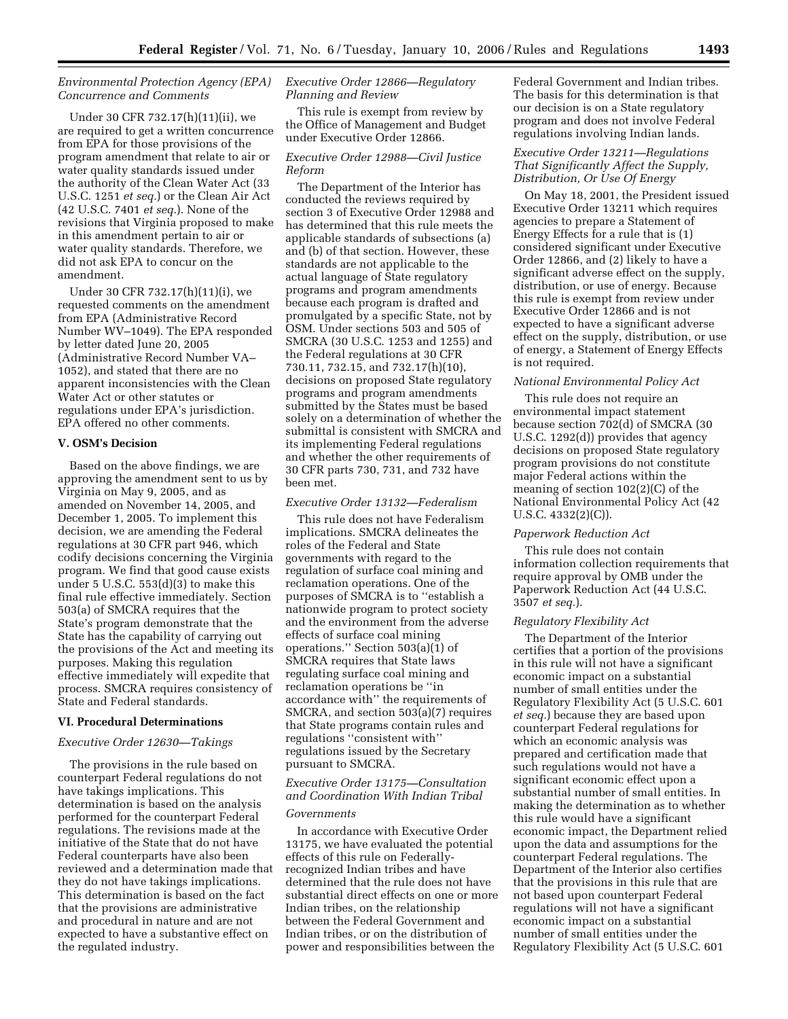## *Environmental Protection Agency (EPA) Concurrence and Comments*

Under 30 CFR 732.17(h)(11)(ii), we are required to get a written concurrence from EPA for those provisions of the program amendment that relate to air or water quality standards issued under the authority of the Clean Water Act (33 U.S.C. 1251 *et seq.*) or the Clean Air Act (42 U.S.C. 7401 *et seq.*). None of the revisions that Virginia proposed to make in this amendment pertain to air or water quality standards. Therefore, we did not ask EPA to concur on the amendment.

Under 30 CFR 732.17(h)(11)(i), we requested comments on the amendment from EPA (Administrative Record Number WV–1049). The EPA responded by letter dated June 20, 2005 (Administrative Record Number VA– 1052), and stated that there are no apparent inconsistencies with the Clean Water Act or other statutes or regulations under EPA's jurisdiction. EPA offered no other comments.

# **V. OSM's Decision**

Based on the above findings, we are approving the amendment sent to us by Virginia on May 9, 2005, and as amended on November 14, 2005, and December 1, 2005. To implement this decision, we are amending the Federal regulations at 30 CFR part 946, which codify decisions concerning the Virginia program. We find that good cause exists under 5 U.S.C. 553(d)(3) to make this final rule effective immediately. Section 503(a) of SMCRA requires that the State's program demonstrate that the State has the capability of carrying out the provisions of the Act and meeting its purposes. Making this regulation effective immediately will expedite that process. SMCRA requires consistency of State and Federal standards.

### **VI. Procedural Determinations**

### *Executive Order 12630—Takings*

The provisions in the rule based on counterpart Federal regulations do not have takings implications. This determination is based on the analysis performed for the counterpart Federal regulations. The revisions made at the initiative of the State that do not have Federal counterparts have also been reviewed and a determination made that they do not have takings implications. This determination is based on the fact that the provisions are administrative and procedural in nature and are not expected to have a substantive effect on the regulated industry.

# *Executive Order 12866—Regulatory Planning and Review*

This rule is exempt from review by the Office of Management and Budget under Executive Order 12866.

## *Executive Order 12988—Civil Justice Reform*

The Department of the Interior has conducted the reviews required by section 3 of Executive Order 12988 and has determined that this rule meets the applicable standards of subsections (a) and (b) of that section. However, these standards are not applicable to the actual language of State regulatory programs and program amendments because each program is drafted and promulgated by a specific State, not by OSM. Under sections 503 and 505 of SMCRA (30 U.S.C. 1253 and 1255) and the Federal regulations at 30 CFR 730.11, 732.15, and 732.17(h)(10), decisions on proposed State regulatory programs and program amendments submitted by the States must be based solely on a determination of whether the submittal is consistent with SMCRA and its implementing Federal regulations and whether the other requirements of 30 CFR parts 730, 731, and 732 have been met.

# *Executive Order 13132—Federalism*

This rule does not have Federalism implications. SMCRA delineates the roles of the Federal and State governments with regard to the regulation of surface coal mining and reclamation operations. One of the purposes of SMCRA is to ''establish a nationwide program to protect society and the environment from the adverse effects of surface coal mining operations.'' Section 503(a)(1) of SMCRA requires that State laws regulating surface coal mining and reclamation operations be ''in accordance with'' the requirements of SMCRA, and section 503(a)(7) requires that State programs contain rules and regulations ''consistent with'' regulations issued by the Secretary pursuant to SMCRA.

# *Executive Order 13175—Consultation and Coordination With Indian Tribal*

## *Governments*

In accordance with Executive Order 13175, we have evaluated the potential effects of this rule on Federallyrecognized Indian tribes and have determined that the rule does not have substantial direct effects on one or more Indian tribes, on the relationship between the Federal Government and Indian tribes, or on the distribution of power and responsibilities between the

Federal Government and Indian tribes. The basis for this determination is that our decision is on a State regulatory program and does not involve Federal regulations involving Indian lands.

## *Executive Order 13211—Regulations That Significantly Affect the Supply, Distribution, Or Use Of Energy*

On May 18, 2001, the President issued Executive Order 13211 which requires agencies to prepare a Statement of Energy Effects for a rule that is (1) considered significant under Executive Order 12866, and (2) likely to have a significant adverse effect on the supply, distribution, or use of energy. Because this rule is exempt from review under Executive Order 12866 and is not expected to have a significant adverse effect on the supply, distribution, or use of energy, a Statement of Energy Effects is not required.

#### *National Environmental Policy Act*

This rule does not require an environmental impact statement because section 702(d) of SMCRA (30 U.S.C. 1292(d)) provides that agency decisions on proposed State regulatory program provisions do not constitute major Federal actions within the meaning of section 102(2)(C) of the National Environmental Policy Act (42 U.S.C. 4332(2)(C)).

#### *Paperwork Reduction Act*

This rule does not contain information collection requirements that require approval by OMB under the Paperwork Reduction Act (44 U.S.C. 3507 *et seq.*).

#### *Regulatory Flexibility Act*

The Department of the Interior certifies that a portion of the provisions in this rule will not have a significant economic impact on a substantial number of small entities under the Regulatory Flexibility Act (5 U.S.C. 601 *et seq.*) because they are based upon counterpart Federal regulations for which an economic analysis was prepared and certification made that such regulations would not have a significant economic effect upon a substantial number of small entities. In making the determination as to whether this rule would have a significant economic impact, the Department relied upon the data and assumptions for the counterpart Federal regulations. The Department of the Interior also certifies that the provisions in this rule that are not based upon counterpart Federal regulations will not have a significant economic impact on a substantial number of small entities under the Regulatory Flexibility Act (5 U.S.C. 601